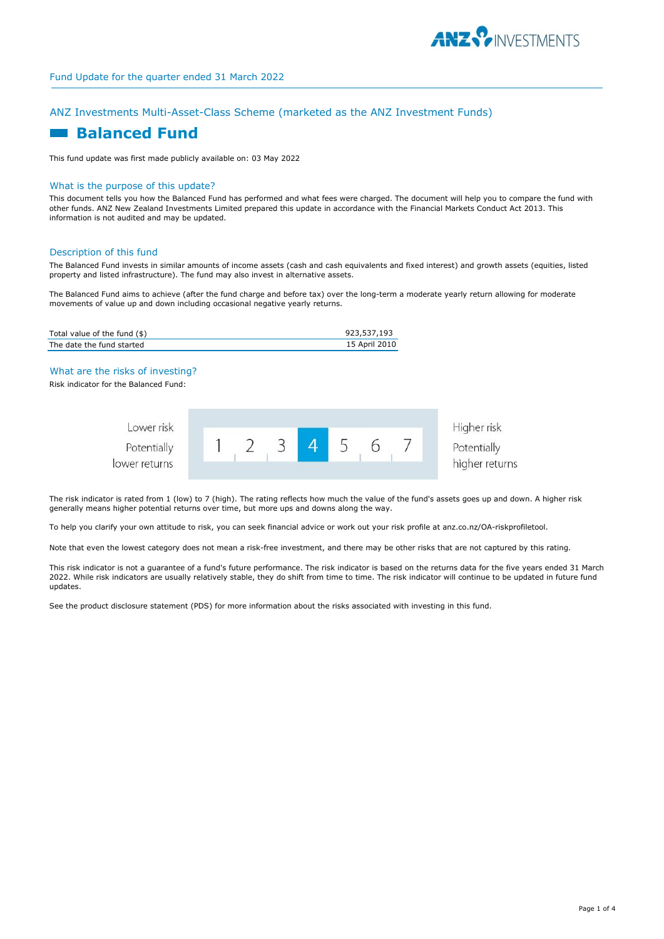

# ANZ Investments Multi-Asset-Class Scheme (marketed as the ANZ Investment Funds)

# **Example Balanced Fund**

This fund update was first made publicly available on: 03 May 2022

## What is the purpose of this update?

This document tells you how the Balanced Fund has performed and what fees were charged. The document will help you to compare the fund with other funds. ANZ New Zealand Investments Limited prepared this update in accordance with the Financial Markets Conduct Act 2013. This information is not audited and may be updated.

#### Description of this fund

The Balanced Fund invests in similar amounts of income assets (cash and cash equivalents and fixed interest) and growth assets (equities, listed property and listed infrastructure). The fund may also invest in alternative assets.

The Balanced Fund aims to achieve (after the fund charge and before tax) over the long-term a moderate yearly return allowing for moderate movements of value up and down including occasional negative yearly returns.

| Total value of the fund $(\$)$ | 923,537,193   |
|--------------------------------|---------------|
| The date the fund started      | 15 April 2010 |

# What are the risks of investing?

Risk indicator for the Balanced Fund:

| Lower risk    |  |  |  | Higher risk    |
|---------------|--|--|--|----------------|
| Potentially   |  |  |  | Potentially    |
| lower returns |  |  |  | higher returns |

The risk indicator is rated from 1 (low) to 7 (high). The rating reflects how much the value of the fund's assets goes up and down. A higher risk generally means higher potential returns over time, but more ups and downs along the way.

To help you clarify your own attitude to risk, you can seek financial advice or work out your risk profile at anz.co.nz/OA-riskprofiletool.

Note that even the lowest category does not mean a risk-free investment, and there may be other risks that are not captured by this rating.

This risk indicator is not a guarantee of a fund's future performance. The risk indicator is based on the returns data for the five years ended 31 March 2022. While risk indicators are usually relatively stable, they do shift from time to time. The risk indicator will continue to be updated in future fund updates.

See the product disclosure statement (PDS) for more information about the risks associated with investing in this fund.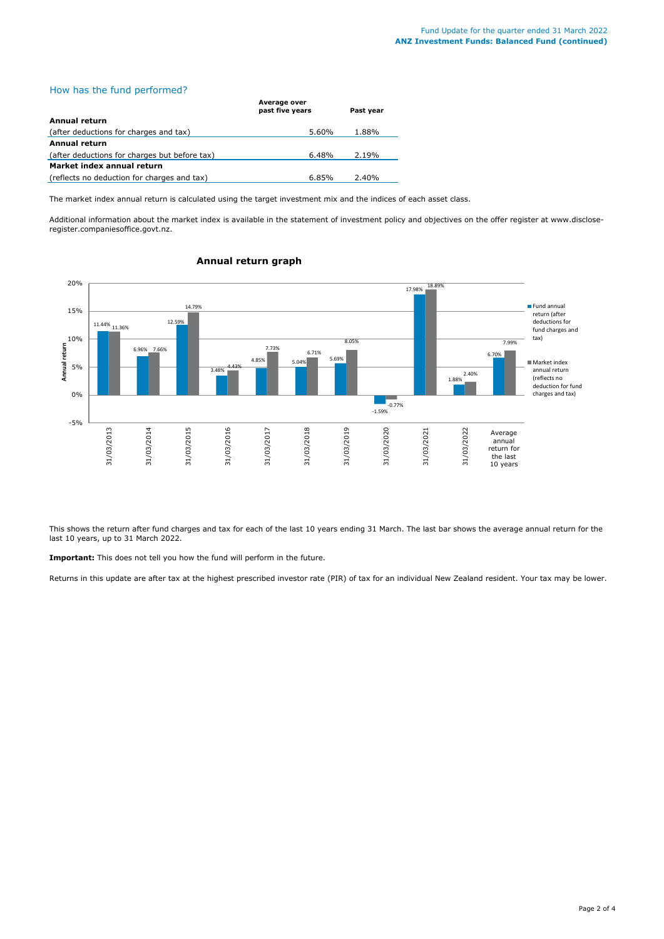# How has the fund performed?

|                                               | .<br>past five years | Past vear |  |
|-----------------------------------------------|----------------------|-----------|--|
| Annual return                                 |                      |           |  |
| (after deductions for charges and tax)        | 5.60%                | 1.88%     |  |
| Annual return                                 |                      |           |  |
| (after deductions for charges but before tax) | $6.48\%$             | 2.19%     |  |
| Market index annual return                    |                      |           |  |
| (reflects no deduction for charges and tax)   | 6.85%                | 2.40%     |  |

The market index annual return is calculated using the target investment mix and the indices of each asset class.

**Average over** 

Additional information about the market index is available in the statement of investment policy and objectives on the offer register at www.discloseregister.companiesoffice.govt.nz.



# **Annual return graph**

This shows the return after fund charges and tax for each of the last 10 years ending 31 March. The last bar shows the average annual return for the last 10 years, up to 31 March 2022.

**Important:** This does not tell you how the fund will perform in the future.

Returns in this update are after tax at the highest prescribed investor rate (PIR) of tax for an individual New Zealand resident. Your tax may be lower.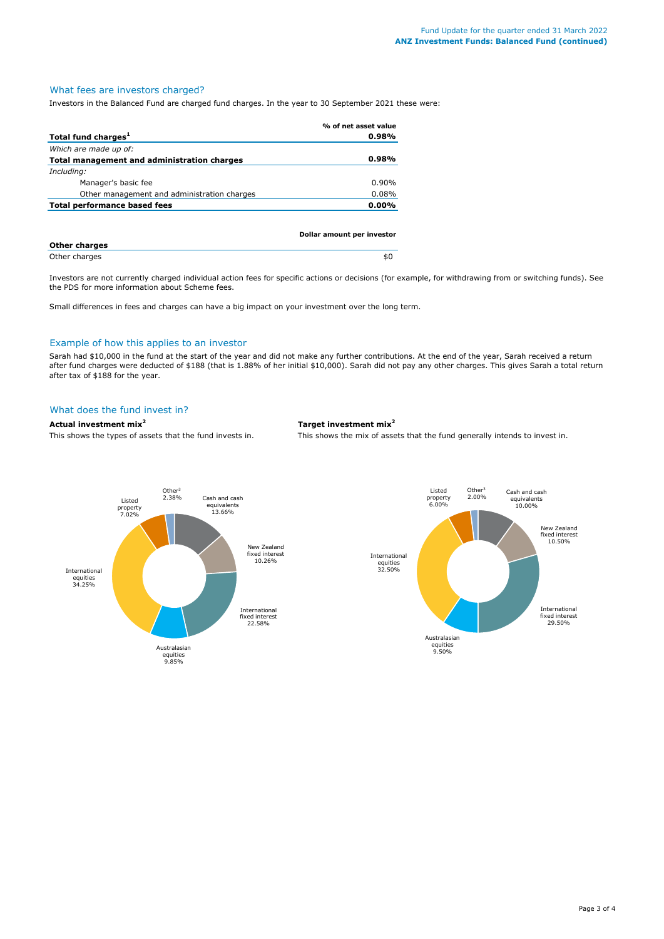# What fees are investors charged?

Investors in the Balanced Fund are charged fund charges. In the year to 30 September 2021 these were:

|                                             | % of net asset value       |
|---------------------------------------------|----------------------------|
| Total fund charges <sup>1</sup>             | 0.98%                      |
| Which are made up of:                       |                            |
| Total management and administration charges | 0.98%                      |
| Including:                                  |                            |
| Manager's basic fee                         | $0.90\%$                   |
| Other management and administration charges | 0.08%                      |
| Total performance based fees                | $0.00\%$                   |
|                                             | Dollar amount per investor |
| <b>Other charges</b>                        |                            |
| Other charges                               | \$0                        |

Investors are not currently charged individual action fees for specific actions or decisions (for example, for withdrawing from or switching funds). See the PDS for more information about Scheme fees.

Small differences in fees and charges can have a big impact on your investment over the long term.

### Example of how this applies to an investor

Sarah had \$10,000 in the fund at the start of the year and did not make any further contributions. At the end of the year, Sarah received a return after fund charges were deducted of \$188 (that is 1.88% of her initial \$10,000). Sarah did not pay any other charges. This gives Sarah a total return after tax of \$188 for the year.

#### What does the fund invest in?

# **Actual investment mix<sup>2</sup> Target investment mix<sup>2</sup>**

This shows the types of assets that the fund invests in. This shows the mix of assets that the fund generally intends to invest in.